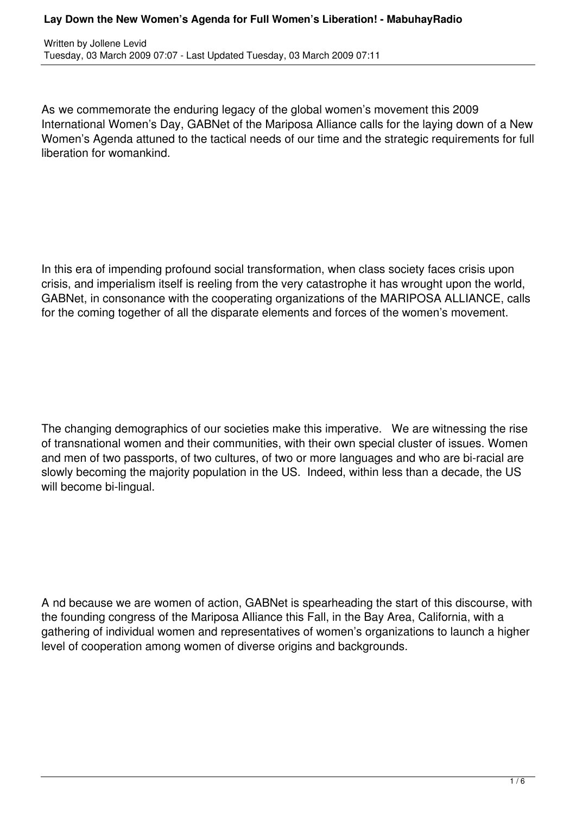Written by Jollene Levid Tuesday, 03 March 2009 07:07 - Last Updated Tuesday, 03 March 2009 07:11

As we commemorate the enduring legacy of the global women's movement this 2009 International Women's Day, GABNet of the Mariposa Alliance calls for the laying down of a New Women's Agenda attuned to the tactical needs of our time and the strategic requirements for full liberation for womankind.

In this era of impending profound social transformation, when class society faces crisis upon crisis, and imperialism itself is reeling from the very catastrophe it has wrought upon the world, GABNet, in consonance with the cooperating organizations of the MARIPOSA ALLIANCE, calls for the coming together of all the disparate elements and forces of the women's movement.

The changing demographics of our societies make this imperative. We are witnessing the rise of transnational women and their communities, with their own special cluster of issues. Women and men of two passports, of two cultures, of two or more languages and who are bi-racial are slowly becoming the majority population in the US. Indeed, within less than a decade, the US will become bi-lingual.

A nd because we are women of action, GABNet is spearheading the start of this discourse, with the founding congress of the Mariposa Alliance this Fall, in the Bay Area, California, with a gathering of individual women and representatives of women's organizations to launch a higher level of cooperation among women of diverse origins and backgrounds.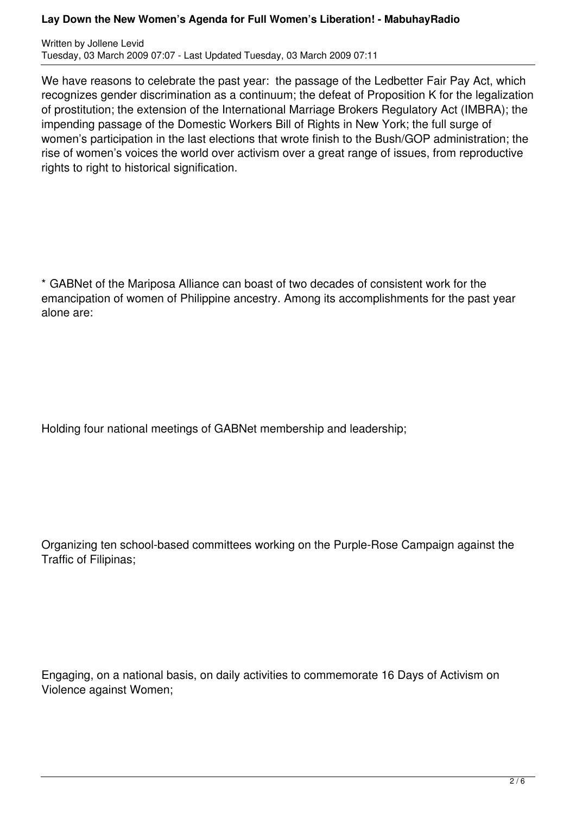Written by Jollene Levid Tuesday, 03 March 2009 07:07 - Last Updated Tuesday, 03 March 2009 07:11

We have reasons to celebrate the past year: the passage of the Ledbetter Fair Pay Act, which recognizes gender discrimination as a continuum; the defeat of Proposition K for the legalization of prostitution; the extension of the International Marriage Brokers Regulatory Act (IMBRA); the impending passage of the Domestic Workers Bill of Rights in New York; the full surge of women's participation in the last elections that wrote finish to the Bush/GOP administration; the rise of women's voices the world over activism over a great range of issues, from reproductive rights to right to historical signification.

\* GABNet of the Mariposa Alliance can boast of two decades of consistent work for the emancipation of women of Philippine ancestry. Among its accomplishments for the past year alone are:

Holding four national meetings of GABNet membership and leadership;

Organizing ten school-based committees working on the Purple-Rose Campaign against the Traffic of Filipinas;

Engaging, on a national basis, on daily activities to commemorate 16 Days of Activism on Violence against Women;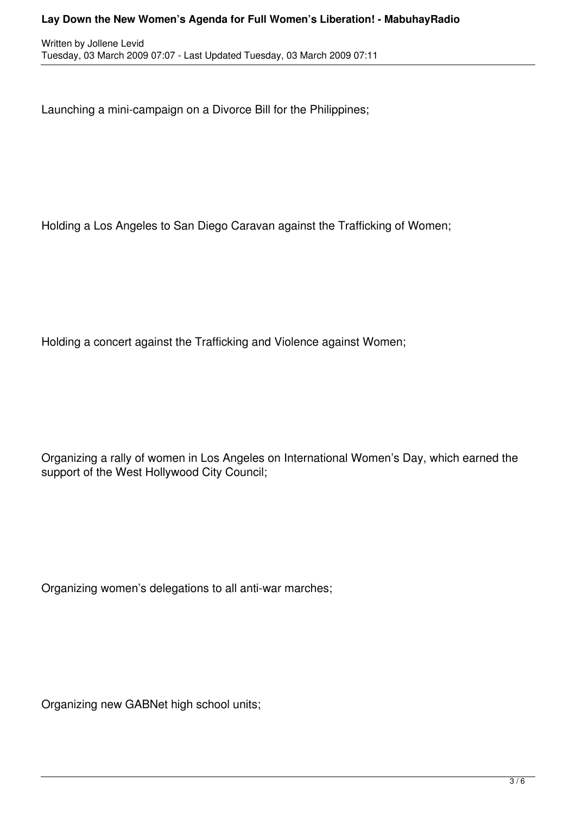Launching a mini-campaign on a Divorce Bill for the Philippines;

Holding a Los Angeles to San Diego Caravan against the Trafficking of Women;

Holding a concert against the Trafficking and Violence against Women;

Organizing a rally of women in Los Angeles on International Women's Day, which earned the support of the West Hollywood City Council;

Organizing women's delegations to all anti-war marches;

Organizing new GABNet high school units;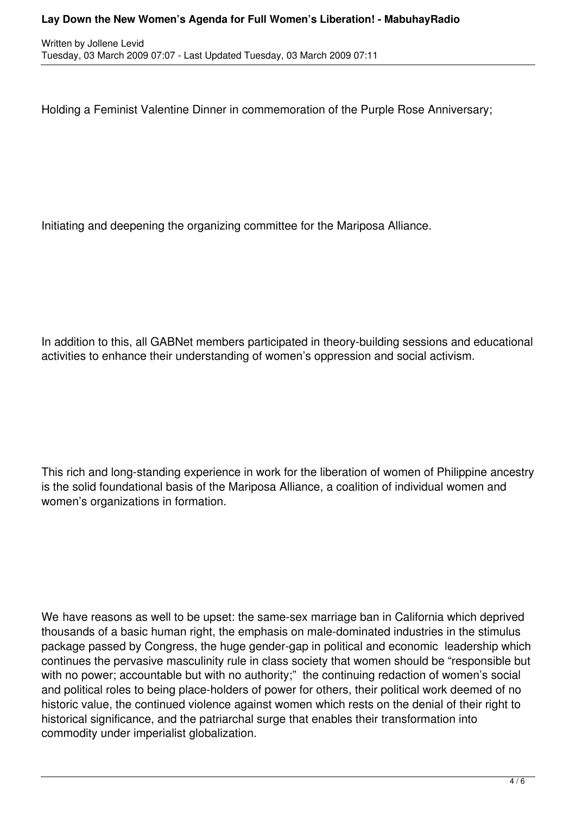Holding a Feminist Valentine Dinner in commemoration of the Purple Rose Anniversary;

Initiating and deepening the organizing committee for the Mariposa Alliance.

In addition to this, all GABNet members participated in theory-building sessions and educational activities to enhance their understanding of women's oppression and social activism.

This rich and long-standing experience in work for the liberation of women of Philippine ancestry is the solid foundational basis of the Mariposa Alliance, a coalition of individual women and women's organizations in formation.

We have reasons as well to be upset: the same-sex marriage ban in California which deprived thousands of a basic human right, the emphasis on male-dominated industries in the stimulus package passed by Congress, the huge gender-gap in political and economic leadership which continues the pervasive masculinity rule in class society that women should be "responsible but with no power; accountable but with no authority;" the continuing redaction of women's social and political roles to being place-holders of power for others, their political work deemed of no historic value, the continued violence against women which rests on the denial of their right to historical significance, and the patriarchal surge that enables their transformation into commodity under imperialist globalization.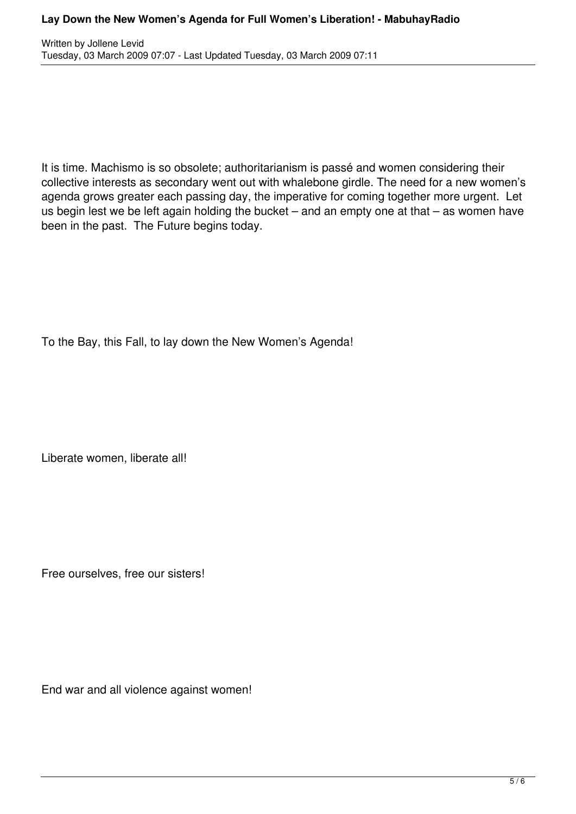It is time. Machismo is so obsolete; authoritarianism is passé and women considering their collective interests as secondary went out with whalebone girdle. The need for a new women's agenda grows greater each passing day, the imperative for coming together more urgent. Let us begin lest we be left again holding the bucket  $-$  and an empty one at that  $-$  as women have been in the past. The Future begins today.

To the Bay, this Fall, to lay down the New Women's Agenda!

Liberate women, liberate all!

Free ourselves, free our sisters!

End war and all violence against women!